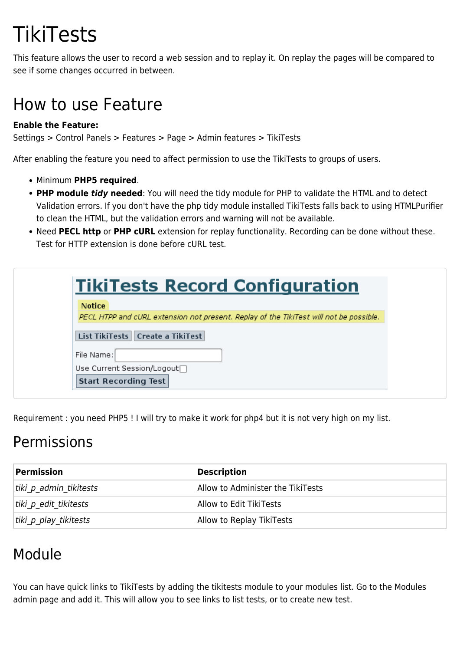# **TikiTests**

This feature allows the user to record a web session and to replay it. On replay the pages will be compared to see if some changes occurred in between.

## How to use Feature

#### **Enable the Feature:**

Settings > Control Panels > Features > Page > Admin features > TikiTests

After enabling the feature you need to affect permission to use the TikiTests to groups of users.

- Minimum **PHP5 required**.
- **PHP module** *tidy* **needed**: You will need the tidy module for PHP to validate the HTML and to detect Validation errors. If you don't have the php tidy module installed TikiTests falls back to using HTMLPurifier to clean the HTML, but the validation errors and warning will not be available.
- Need **PECL http** or **PHP cURL** extension for replay functionality. Recording can be done without these. Test for HTTP extension is done before cURL test.

| <b>TikiTests Record Configuration</b>                                                  |
|----------------------------------------------------------------------------------------|
| <b>Notice</b>                                                                          |
| PECL HTPP and cURL extension not present. Replay of the TikiTest will not be possible. |
| List TikiTests   Create a TikiTest                                                     |
| File Name:                                                                             |
| Use Current Session/Logout□                                                            |
| <b>Start Recording Test</b>                                                            |

Requirement : you need PHP5 ! I will try to make it work for php4 but it is not very high on my list.

### Permissions

| Permission             | <b>Description</b>                |
|------------------------|-----------------------------------|
| tiki p admin tikitests | Allow to Administer the TikiTests |
| tiki p edit tikitests  | Allow to Edit TikiTests           |
| tiki p play tikitests  | Allow to Replay TikiTests         |

### Module

You can have quick links to TikiTests by adding the tikitests module to your modules list. Go to the Modules admin page and add it. This will allow you to see links to list tests, or to create new test.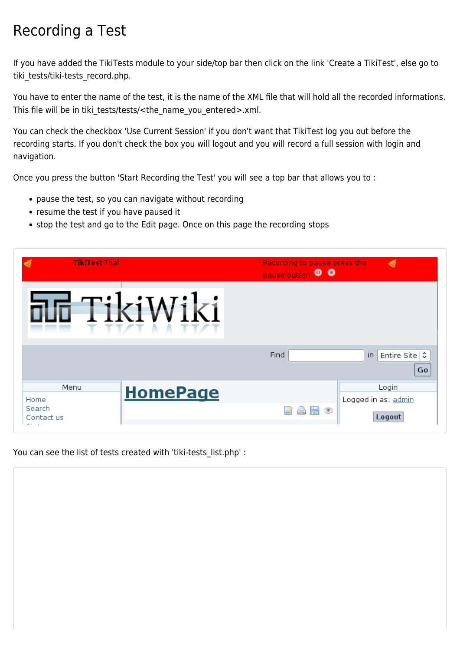### Recording a Test

If you have added the TikiTests module to your side/top bar then click on the link 'Create a TikiTest', else go to tiki\_tests/tiki-tests\_record.php.

You have to enter the name of the test, it is the name of the XML file that will hold all the recorded informations. This file will be in tiki tests/tests/<the\_name\_you\_entered>.xml.

You can check the checkbox 'Use Current Session' if you don't want that TikiTest log you out before the recording starts. If you don't check the box you will logout and you will record a full session with login and navigation.

Once you press the button 'Start Recording the Test' you will see a top bar that allows you to :

- pause the test, so you can navigate without recording
- resume the test if you have paused it
- stop the test and go to the Edit page. Once on this page the recording stops

| <b>TikiTest Trial</b>                      |                     | Recording to pause press the<br>pause button <sup>0</sup> | ◀                                             |
|--------------------------------------------|---------------------|-----------------------------------------------------------|-----------------------------------------------|
|                                            | $\mathbb{A}$<br>- 8 |                                                           |                                               |
|                                            |                     | Find                                                      | in<br>Entire Site C<br>Go                     |
| Menu<br>Home<br>Search<br>Contact us<br>-- | <b>HomePage</b>     | $\circledcirc$<br>H                                       | Login<br>Logged in as: admin<br><b>Logout</b> |

You can see the list of tests created with 'tiki-tests\_list.php' :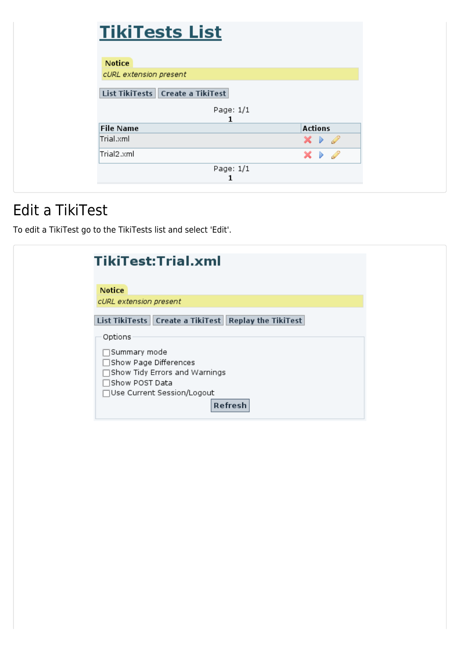| <b>TikiTests List</b>            |                                      |
|----------------------------------|--------------------------------------|
|                                  |                                      |
| <b>Notice</b>                    |                                      |
| cURL extension present           |                                      |
| List TikiTests Create a TikiTest |                                      |
|                                  |                                      |
| Page: 1/1<br>1                   |                                      |
| <b>File Name</b>                 | <b>Actions</b>                       |
| Trial.xml                        | $\times$ $\triangleright$ 0          |
| Trial2.xml                       | $\times$ $\rightarrow$ $\mathscr{D}$ |

#### Edit a TikiTest

To edit a TikiTest go to the TikiTests list and select 'Edit'.

|                              | TikiTest:Trial.xml                                       |  |
|------------------------------|----------------------------------------------------------|--|
|                              |                                                          |  |
|                              |                                                          |  |
| <b>Notice</b>                |                                                          |  |
| cURL extension present       |                                                          |  |
|                              |                                                          |  |
|                              | List TikiTests   Create a TikiTest   Replay the TikiTest |  |
| Options                      |                                                          |  |
| □Summary mode                |                                                          |  |
| $\Box$ Show Page Differences |                                                          |  |
|                              | $\Box$ Show Tidy Errors and Warnings                     |  |
| $\Box$ Show POST Data        |                                                          |  |
|                              | □Use Current Session/Logout                              |  |
|                              | Refresh                                                  |  |
|                              |                                                          |  |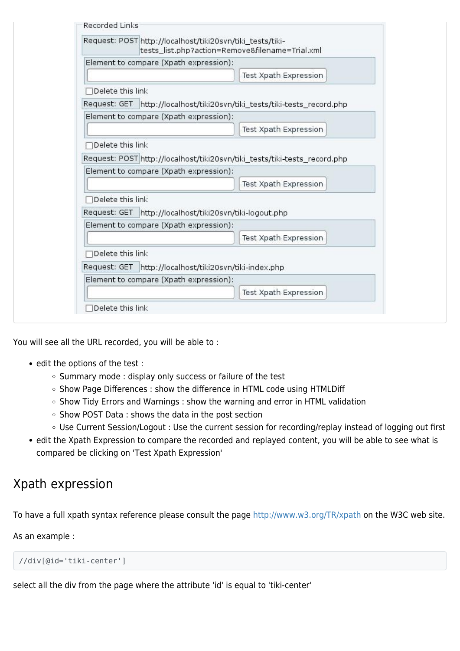| Element to compare (Xpath expression):<br>Test Xpath Expression<br>$\sqcap$ Delete this link<br>Request: GET http://localhost/tiki20svn/tiki_tests/tiki-tests_record.php<br>Element to compare (Xpath expression):<br>Test Xpath Expression<br>Delete this link<br>Request: POST http://localhost/tiki20svn/tiki_tests/tiki-tests_record.php<br>Element to compare (Xpath expression):<br>Test Xpath Expression<br>$\Box$ Delete this link<br>Request: GET http://localhost/tiki20svn/tiki-logout.php<br>Element to compare (Xpath expression):<br>Test Xpath Expression<br>□Delete this link<br>Request: GET http://localhost/tiki20svn/tiki-index.php<br>Element to compare (Xpath expression):<br>Test Xpath Expression | Request: POST http://localhost/tiki20svn/tiki_tests/tiki- | tests_list.php?action=Remove&filename=Trial.xml |
|----------------------------------------------------------------------------------------------------------------------------------------------------------------------------------------------------------------------------------------------------------------------------------------------------------------------------------------------------------------------------------------------------------------------------------------------------------------------------------------------------------------------------------------------------------------------------------------------------------------------------------------------------------------------------------------------------------------------------|-----------------------------------------------------------|-------------------------------------------------|
|                                                                                                                                                                                                                                                                                                                                                                                                                                                                                                                                                                                                                                                                                                                            |                                                           |                                                 |
|                                                                                                                                                                                                                                                                                                                                                                                                                                                                                                                                                                                                                                                                                                                            |                                                           |                                                 |
|                                                                                                                                                                                                                                                                                                                                                                                                                                                                                                                                                                                                                                                                                                                            |                                                           |                                                 |
|                                                                                                                                                                                                                                                                                                                                                                                                                                                                                                                                                                                                                                                                                                                            |                                                           |                                                 |
|                                                                                                                                                                                                                                                                                                                                                                                                                                                                                                                                                                                                                                                                                                                            |                                                           |                                                 |
|                                                                                                                                                                                                                                                                                                                                                                                                                                                                                                                                                                                                                                                                                                                            |                                                           |                                                 |
|                                                                                                                                                                                                                                                                                                                                                                                                                                                                                                                                                                                                                                                                                                                            |                                                           |                                                 |
|                                                                                                                                                                                                                                                                                                                                                                                                                                                                                                                                                                                                                                                                                                                            |                                                           |                                                 |
|                                                                                                                                                                                                                                                                                                                                                                                                                                                                                                                                                                                                                                                                                                                            |                                                           |                                                 |
|                                                                                                                                                                                                                                                                                                                                                                                                                                                                                                                                                                                                                                                                                                                            |                                                           |                                                 |
|                                                                                                                                                                                                                                                                                                                                                                                                                                                                                                                                                                                                                                                                                                                            |                                                           |                                                 |
|                                                                                                                                                                                                                                                                                                                                                                                                                                                                                                                                                                                                                                                                                                                            |                                                           |                                                 |
|                                                                                                                                                                                                                                                                                                                                                                                                                                                                                                                                                                                                                                                                                                                            |                                                           |                                                 |
|                                                                                                                                                                                                                                                                                                                                                                                                                                                                                                                                                                                                                                                                                                                            |                                                           |                                                 |
|                                                                                                                                                                                                                                                                                                                                                                                                                                                                                                                                                                                                                                                                                                                            |                                                           |                                                 |
|                                                                                                                                                                                                                                                                                                                                                                                                                                                                                                                                                                                                                                                                                                                            |                                                           |                                                 |
|                                                                                                                                                                                                                                                                                                                                                                                                                                                                                                                                                                                                                                                                                                                            |                                                           |                                                 |
|                                                                                                                                                                                                                                                                                                                                                                                                                                                                                                                                                                                                                                                                                                                            |                                                           |                                                 |

You will see all the URL recorded, you will be able to :

- edit the options of the test :
	- o Summary mode : display only success or failure of the test
	- Show Page Differences : show the difference in HTML code using HTMLDiff
	- o Show Tidy Errors and Warnings : show the warning and error in HTML validation
	- o Show POST Data : shows the data in the post section
	- Use Current Session/Logout : Use the current session for recording/replay instead of logging out first
- edit the Xpath Expression to compare the recorded and replayed content, you will be able to see what is compared be clicking on 'Test Xpath Expression'

#### Xpath expression

To have a full xpath syntax reference please consult the page [http://www.w3.org/TR/xpath](http://example.com) on the W3C web site.

As an example :

```
//div[@id='tiki-center']
```
select all the div from the page where the attribute 'id' is equal to 'tiki-center'